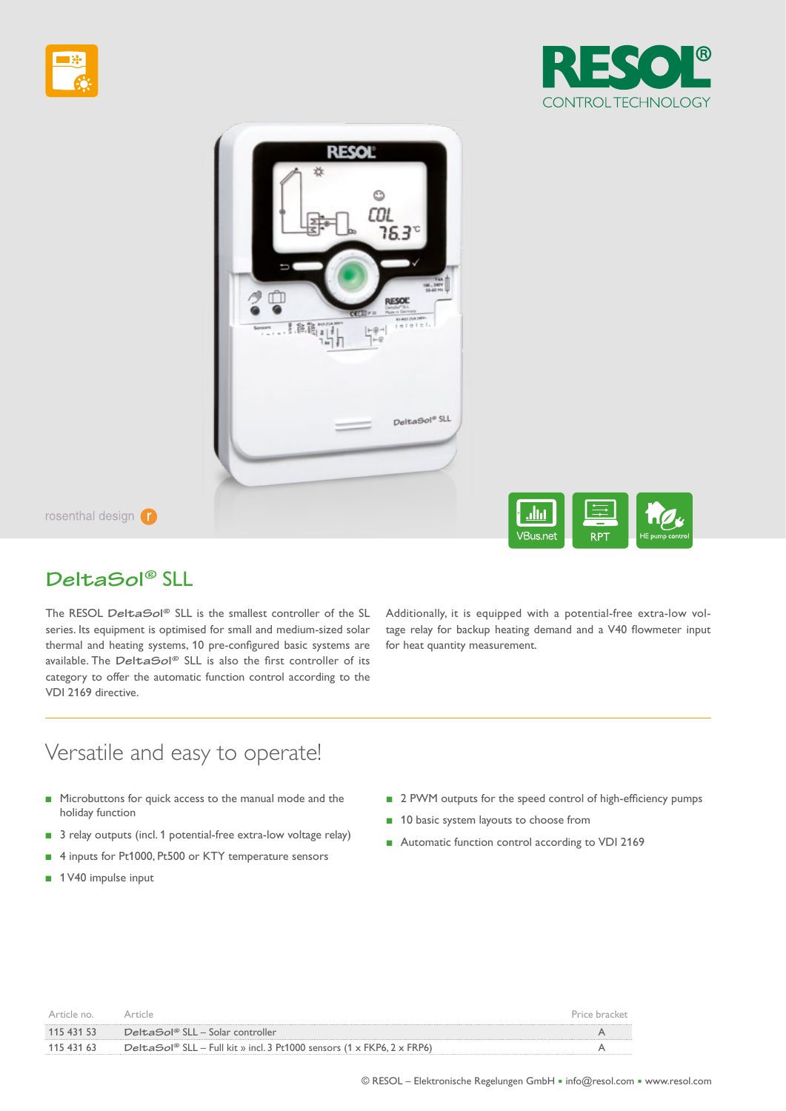





rosenthal design (



## **DeltaSol®** SLL

The RESOL **DeltaSol®** SLL is the smallest controller of the SL series. Its equipment is optimised for small and medium-sized solar thermal and heating systems, 10 pre-confgured basic systems are available. The **DeltaSol®** SLL is also the frst controller of its category to offer the automatic function control according to the VDI 2169 directive.

Additionally, it is equipped with a potential-free extra-low voltage relay for backup heating demand and a V40 flowmeter input for heat quantity measurement.

# Versatile and easy to operate!

- Microbuttons for quick access to the manual mode and the holiday function
- 3 relay outputs (incl. 1 potential-free extra-low voltage relay)
- **■** 4 inputs for Pt1000, Pt500 or KTY temperature sensors
- 1 V40 impulse input
- 2 PWM outputs for the speed control of high-efficiency pumps
- 10 basic system layouts to choose from
- Automatic function control according to VDI 2169

| Article no |                                                                        | Price bracket |
|------------|------------------------------------------------------------------------|---------------|
| 115 431 53 | DeltaSol® SLL – Solar controller                                       |               |
| 115 431 63 | DeltaSol® SLL – Full kit » incl. 3 Pt1000 sensors (1 x FKP6, 2 x FRP6) |               |